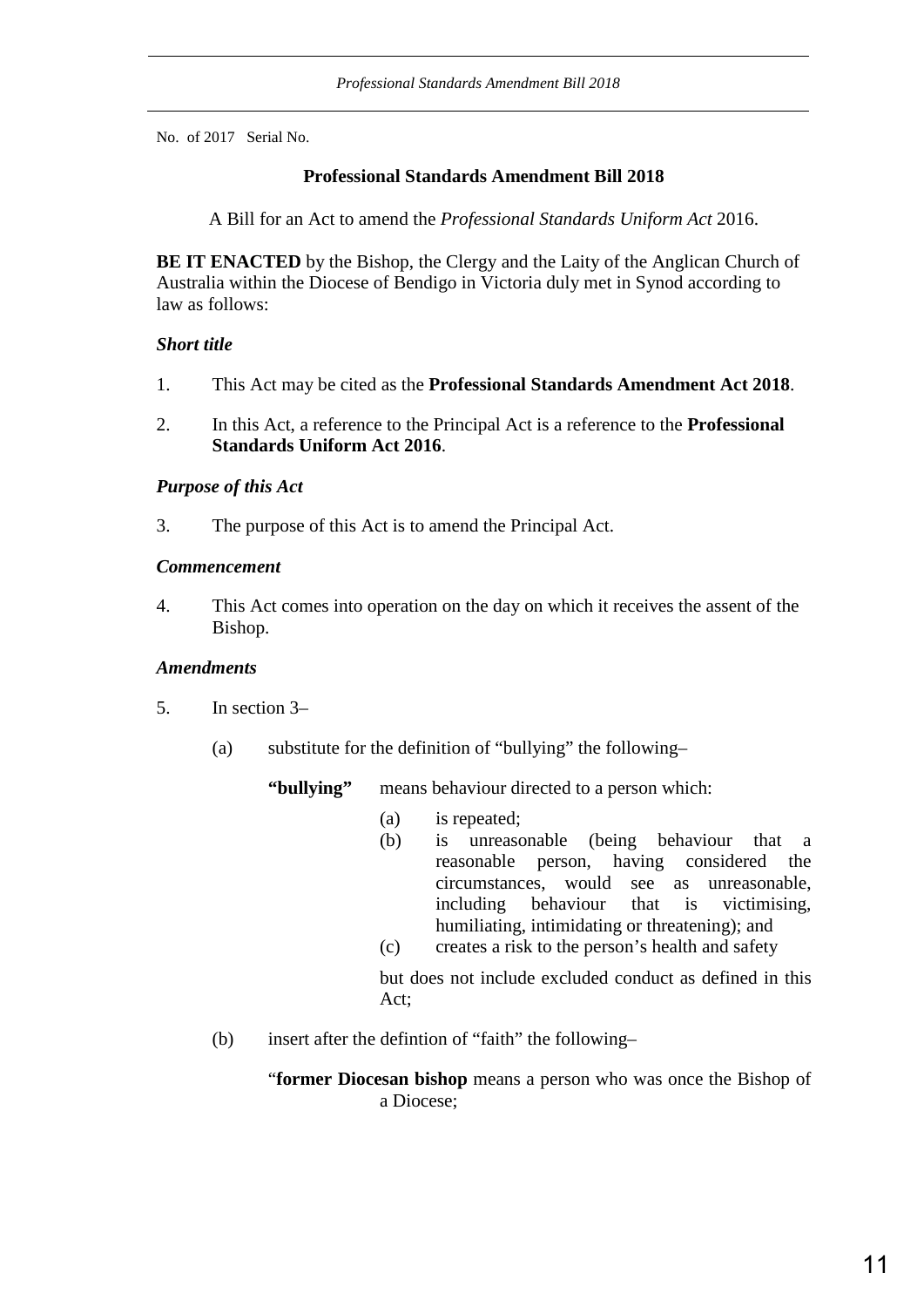No. of 2017 Serial No.

# **Professional Standards Amendment Bill 2018**

A Bill for an Act to amend the *Professional Standards Uniform Act* 2016.

**BE IT ENACTED** by the Bishop, the Clergy and the Laity of the Anglican Church of Australia within the Diocese of Bendigo in Victoria duly met in Synod according to law as follows:

# *Short title*

- 1. This Act may be cited as the **Professional Standards Amendment Act 2018**.
- 2. In this Act, a reference to the Principal Act is a reference to the **Professional Standards Uniform Act 2016**.

# *Purpose of this Act*

3. The purpose of this Act is to amend the Principal Act.

# *Commencement*

4. This Act comes into operation on the day on which it receives the assent of the Bishop.

#### *Amendments*

- 5. In section 3–
	- (a) substitute for the definition of "bullying" the following–

**"bullying"** means behaviour directed to a person which:

- (a) is repeated;
- (b) is unreasonable (being behaviour that a reasonable person, having considered the circumstances, would see as unreasonable, including behaviour that is victimising, humiliating, intimidating or threatening); and
- (c) creates a risk to the person's health and safety

but does not include excluded conduct as defined in this Act;

(b) insert after the defintion of "faith" the following–

"**former Diocesan bishop** means a person who was once the Bishop of a Diocese;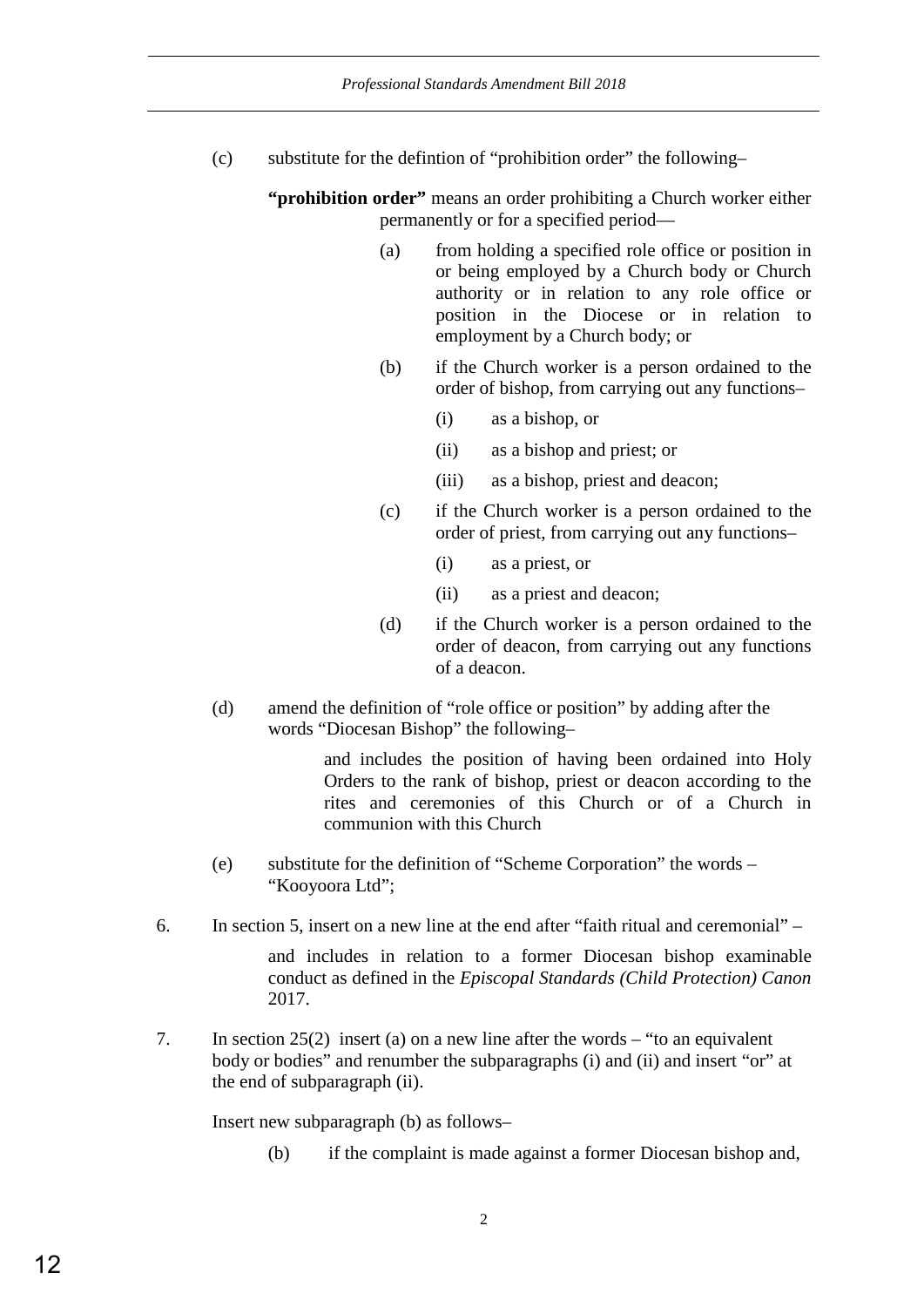(c) substitute for the defintion of "prohibition order" the following–

**"prohibition order"** means an order prohibiting a Church worker either permanently or for a specified period—

- (a) from holding a specified role office or position in or being employed by a Church body or Church authority or in relation to any role office or position in the Diocese or in relation to employment by a Church body; or
- (b) if the Church worker is a person ordained to the order of bishop, from carrying out any functions–
	- (i) as a bishop, or
	- (ii) as a bishop and priest; or
	- (iii) as a bishop, priest and deacon;
- (c) if the Church worker is a person ordained to the order of priest, from carrying out any functions–
	- (i) as a priest, or
	- (ii) as a priest and deacon;
- (d) if the Church worker is a person ordained to the order of deacon, from carrying out any functions of a deacon.
- (d) amend the definition of "role office or position" by adding after the words "Diocesan Bishop" the following–

and includes the position of having been ordained into Holy Orders to the rank of bishop, priest or deacon according to the rites and ceremonies of this Church or of a Church in communion with this Church

- (e) substitute for the definition of "Scheme Corporation" the words "Kooyoora Ltd";
- 6. In section 5, insert on a new line at the end after "faith ritual and ceremonial" –

and includes in relation to a former Diocesan bishop examinable conduct as defined in the *Episcopal Standards (Child Protection) Canon* 2017.

7. In section 25(2) insert (a) on a new line after the words – "to an equivalent body or bodies" and renumber the subparagraphs (i) and (ii) and insert "or" at the end of subparagraph (ii).

Insert new subparagraph (b) as follows–

(b) if the complaint is made against a former Diocesan bishop and,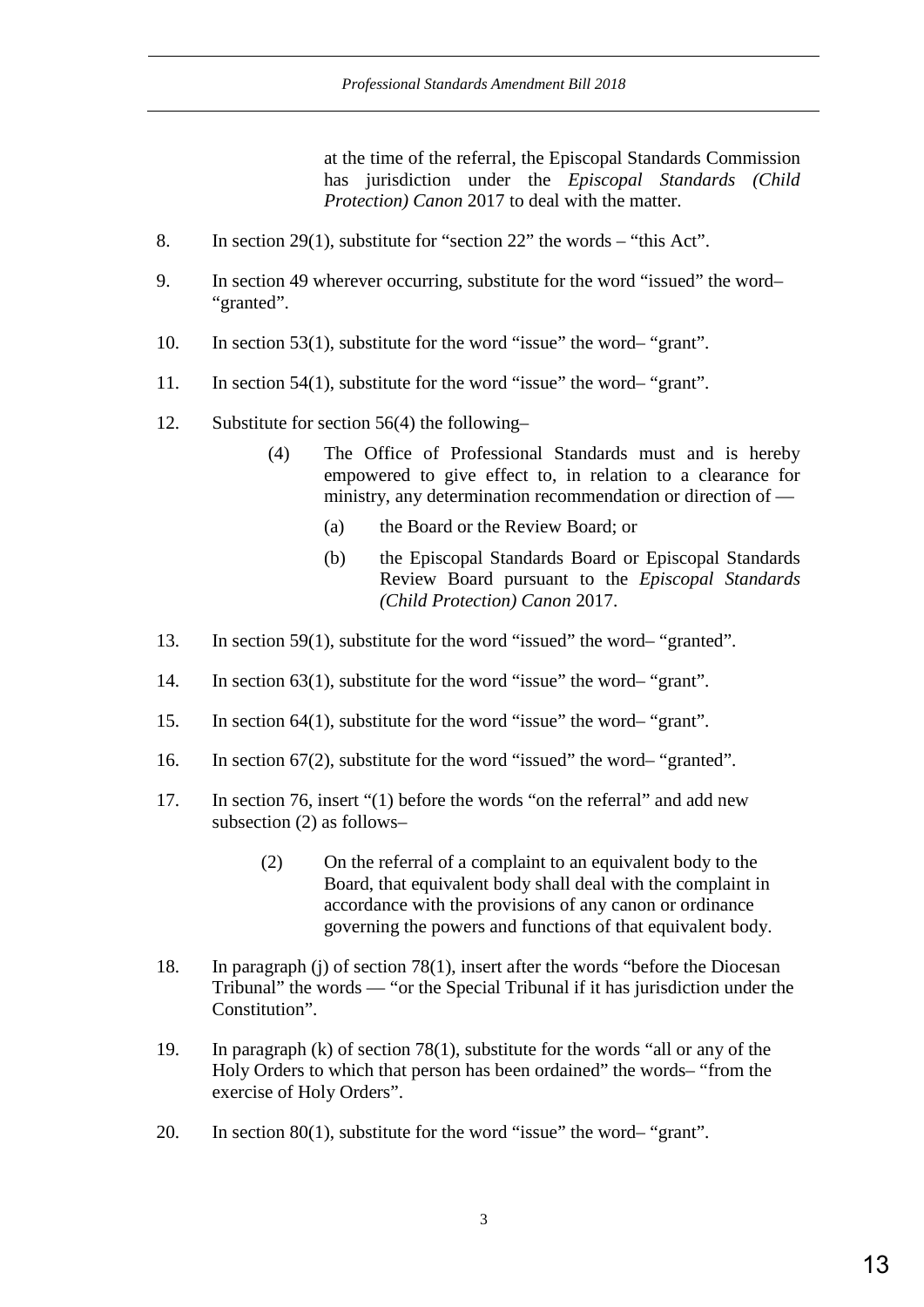at the time of the referral, the Episcopal Standards Commission has jurisdiction under the *Episcopal Standards (Child Protection) Canon* 2017 to deal with the matter.

- 8. In section 29(1), substitute for "section 22" the words "this Act".
- 9. In section 49 wherever occurring, substitute for the word "issued" the word– "granted".
- 10. In section 53(1), substitute for the word "issue" the word– "grant".
- 11. In section 54(1), substitute for the word "issue" the word– "grant".
- 12. Substitute for section 56(4) the following–
	- (4) The Office of Professional Standards must and is hereby empowered to give effect to, in relation to a clearance for ministry, any determination recommendation or direction of —
		- (a) the Board or the Review Board; or
		- (b) the Episcopal Standards Board or Episcopal Standards Review Board pursuant to the *Episcopal Standards (Child Protection) Canon* 2017.
- 13. In section 59(1), substitute for the word "issued" the word– "granted".
- 14. In section 63(1), substitute for the word "issue" the word– "grant".
- 15. In section 64(1), substitute for the word "issue" the word– "grant".
- 16. In section 67(2), substitute for the word "issued" the word– "granted".
- 17. In section 76, insert "(1) before the words "on the referral" and add new subsection (2) as follows–
	- (2) On the referral of a complaint to an equivalent body to the Board, that equivalent body shall deal with the complaint in accordance with the provisions of any canon or ordinance governing the powers and functions of that equivalent body.
- 18. In paragraph (j) of section 78(1), insert after the words "before the Diocesan Tribunal" the words — "or the Special Tribunal if it has jurisdiction under the Constitution".
- 19. In paragraph (k) of section 78(1), substitute for the words "all or any of the Holy Orders to which that person has been ordained" the words– "from the exercise of Holy Orders".
- 20. In section 80(1), substitute for the word "issue" the word– "grant".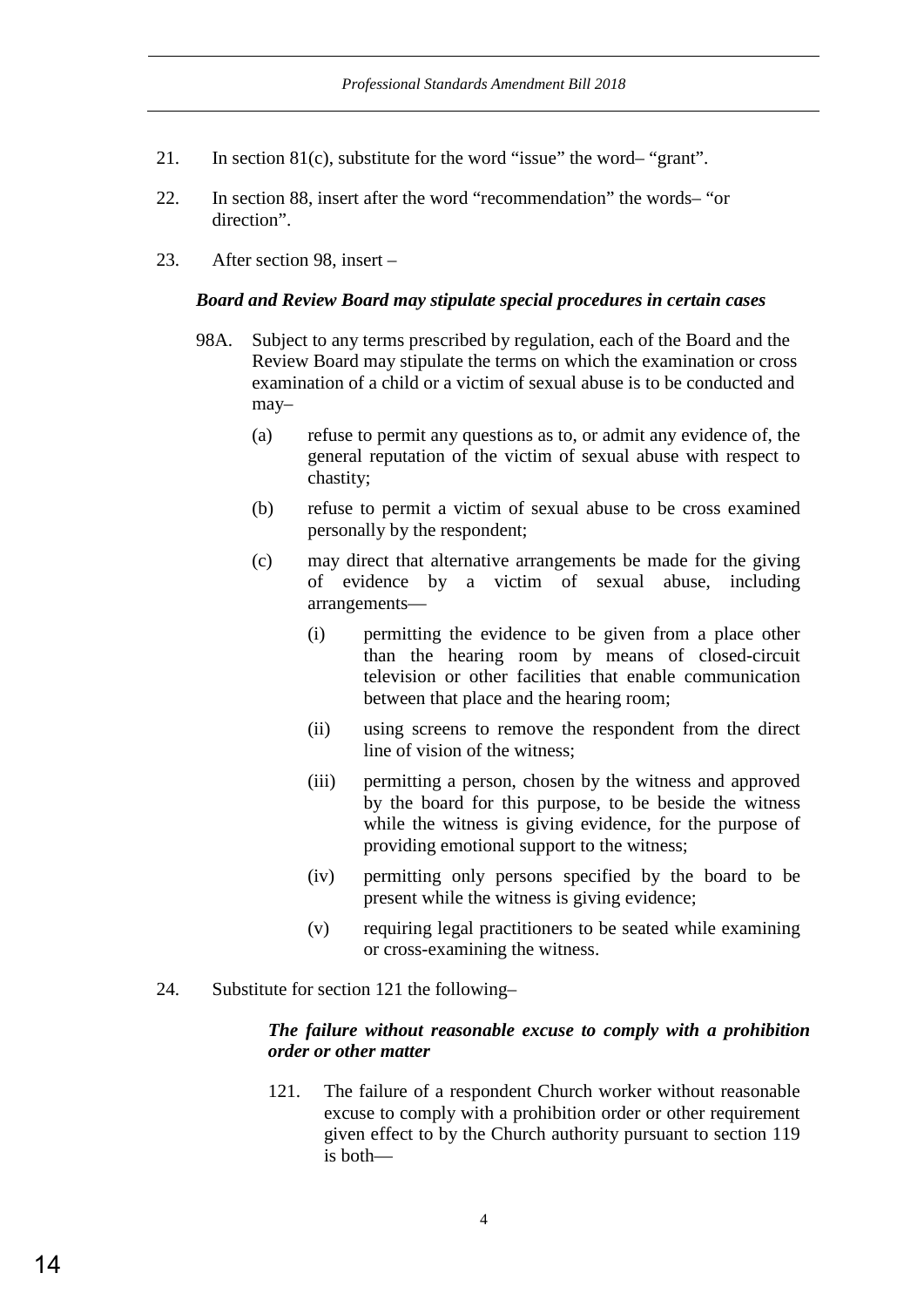- 21. In section 81(c), substitute for the word "issue" the word– "grant".
- 22. In section 88, insert after the word "recommendation" the words– "or direction".
- 23. After section 98, insert –

#### *Board and Review Board may stipulate special procedures in certain cases*

- 98A. Subject to any terms prescribed by regulation, each of the Board and the Review Board may stipulate the terms on which the examination or cross examination of a child or a victim of sexual abuse is to be conducted and may–
	- (a) refuse to permit any questions as to, or admit any evidence of, the general reputation of the victim of sexual abuse with respect to chastity;
	- (b) refuse to permit a victim of sexual abuse to be cross examined personally by the respondent;
	- (c) may direct that alternative arrangements be made for the giving of evidence by a victim of sexual abuse, including arrangements—
		- (i) permitting the evidence to be given from a place other than the hearing room by means of closed-circuit television or other facilities that enable communication between that place and the hearing room;
		- (ii) using screens to remove the respondent from the direct line of vision of the witness;
		- (iii) permitting a person, chosen by the witness and approved by the board for this purpose, to be beside the witness while the witness is giving evidence, for the purpose of providing emotional support to the witness;
		- (iv) permitting only persons specified by the board to be present while the witness is giving evidence;
		- (v) requiring legal practitioners to be seated while examining or cross-examining the witness.
- 24. Substitute for section 121 the following–

### *The failure without reasonable excuse to comply with a prohibition order or other matter*

121. The failure of a respondent Church worker without reasonable excuse to comply with a prohibition order or other requirement given effect to by the Church authority pursuant to section 119 is both—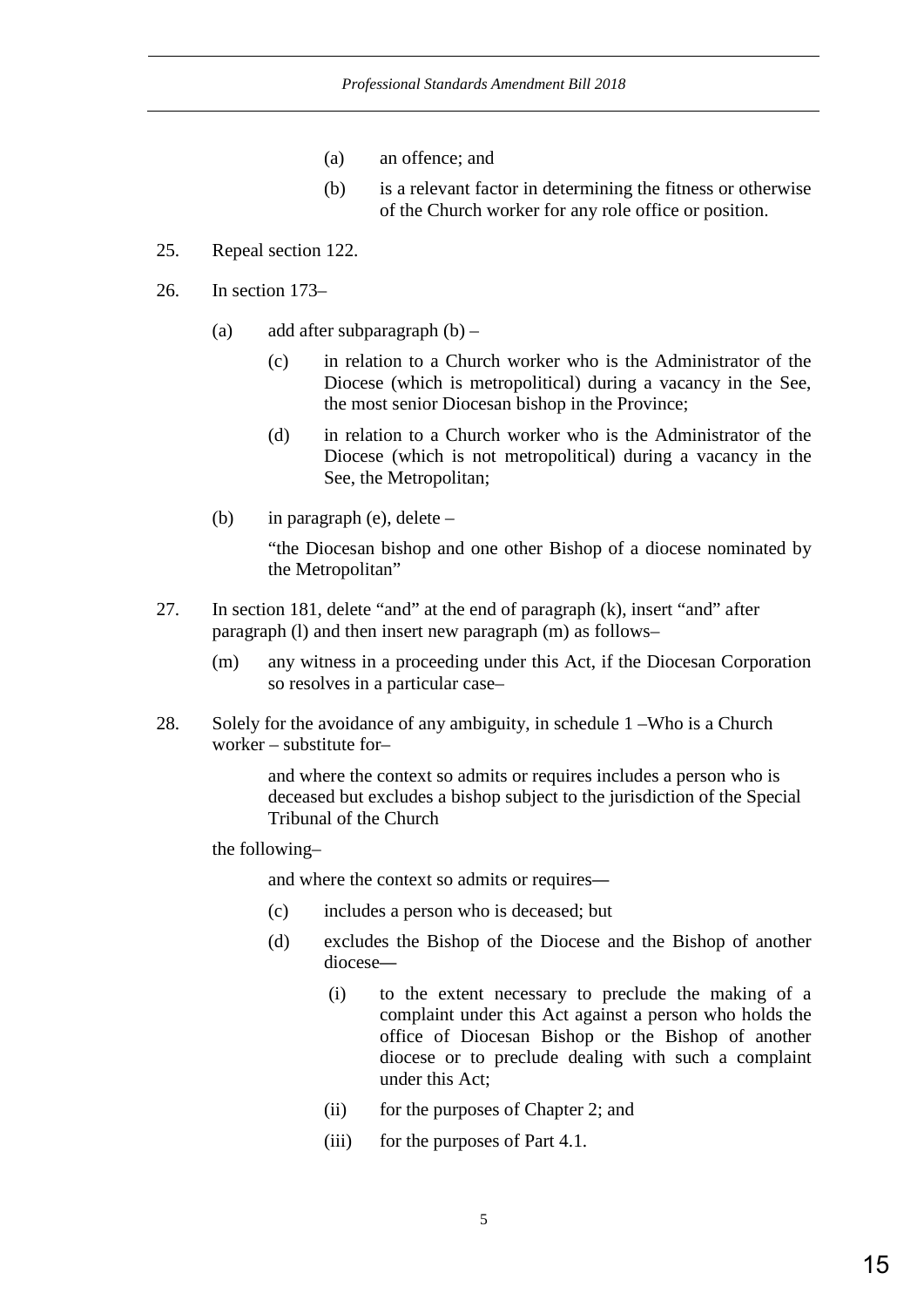- (a) an offence; and
- (b) is a relevant factor in determining the fitness or otherwise of the Church worker for any role office or position.
- 25. Repeal section 122.
- 26. In section 173–
	- (a) add after subparagraph  $(b)$ 
		- (c) in relation to a Church worker who is the Administrator of the Diocese (which is metropolitical) during a vacancy in the See, the most senior Diocesan bishop in the Province;
		- (d) in relation to a Church worker who is the Administrator of the Diocese (which is not metropolitical) during a vacancy in the See, the Metropolitan;
	- (b) in paragraph (e), delete –

"the Diocesan bishop and one other Bishop of a diocese nominated by the Metropolitan"

- 27. In section 181, delete "and" at the end of paragraph (k), insert "and" after paragraph (l) and then insert new paragraph (m) as follows–
	- (m) any witness in a proceeding under this Act, if the Diocesan Corporation so resolves in a particular case–
- 28. Solely for the avoidance of any ambiguity, in schedule 1 –Who is a Church worker – substitute for–

 and where the context so admits or requires includes a person who is deceased but excludes a bishop subject to the jurisdiction of the Special Tribunal of the Church

the following–

and where the context so admits or requires—

- (c) includes a person who is deceased; but
- (d) excludes the Bishop of the Diocese and the Bishop of another diocese—
	- (i) to the extent necessary to preclude the making of a complaint under this Act against a person who holds the office of Diocesan Bishop or the Bishop of another diocese or to preclude dealing with such a complaint under this Act;
	- (ii) for the purposes of Chapter 2; and
	- (iii) for the purposes of Part 4.1.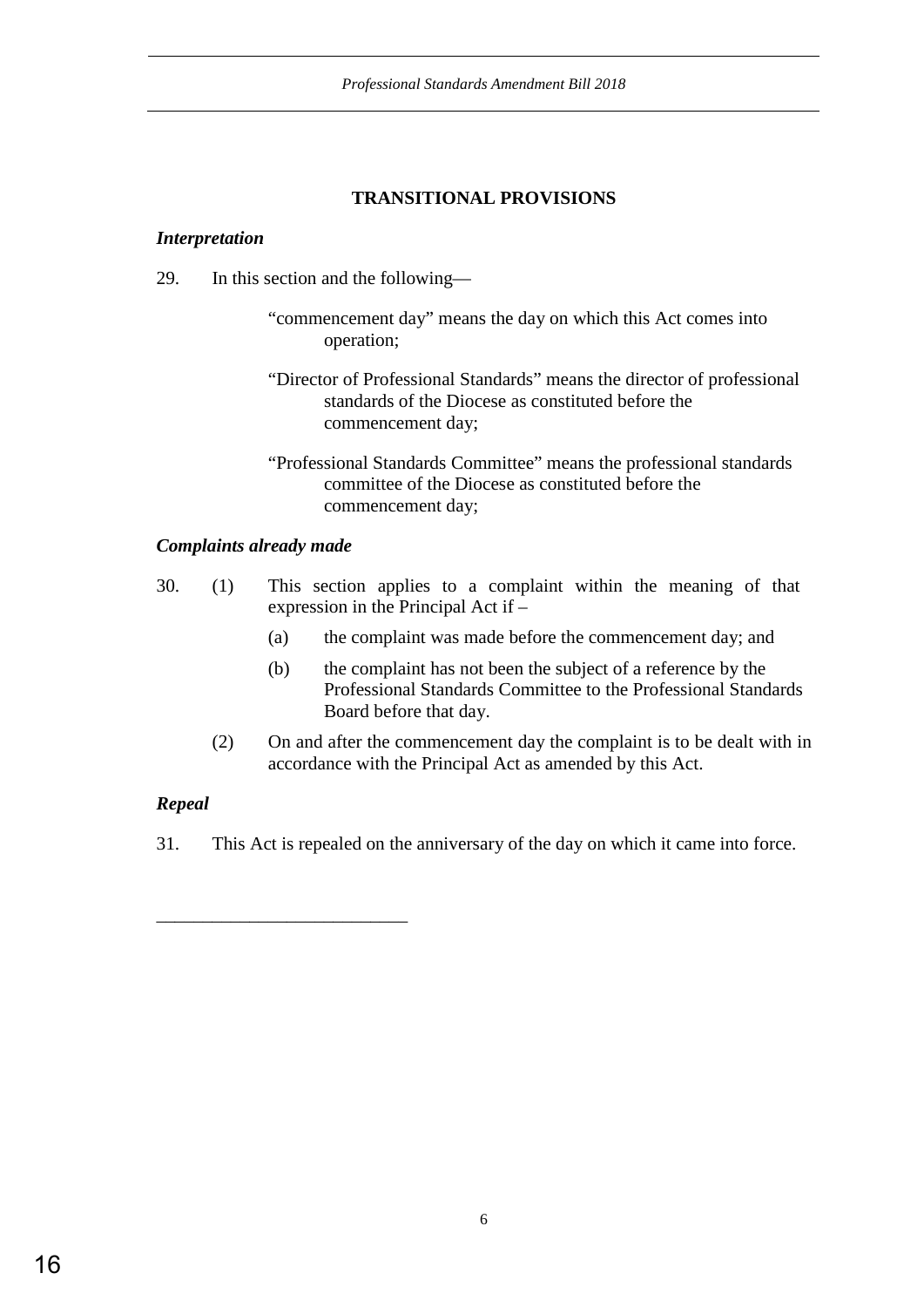# **TRANSITIONAL PROVISIONS**

### *Interpretation*

- 29. In this section and the following—
	- "commencement day" means the day on which this Act comes into operation;
	- "Director of Professional Standards" means the director of professional standards of the Diocese as constituted before the commencement day;
	- "Professional Standards Committee" means the professional standards committee of the Diocese as constituted before the commencement day;

# *Complaints already made*

\_\_\_\_\_\_\_\_\_\_\_\_\_\_\_\_\_\_\_\_\_\_\_\_\_\_\_

- 30. (1) This section applies to a complaint within the meaning of that expression in the Principal Act if –
	- (a) the complaint was made before the commencement day; and
	- (b) the complaint has not been the subject of a reference by the Professional Standards Committee to the Professional Standards Board before that day.
	- (2) On and after the commencement day the complaint is to be dealt with in accordance with the Principal Act as amended by this Act.

# *Repeal*

31. This Act is repealed on the anniversary of the day on which it came into force.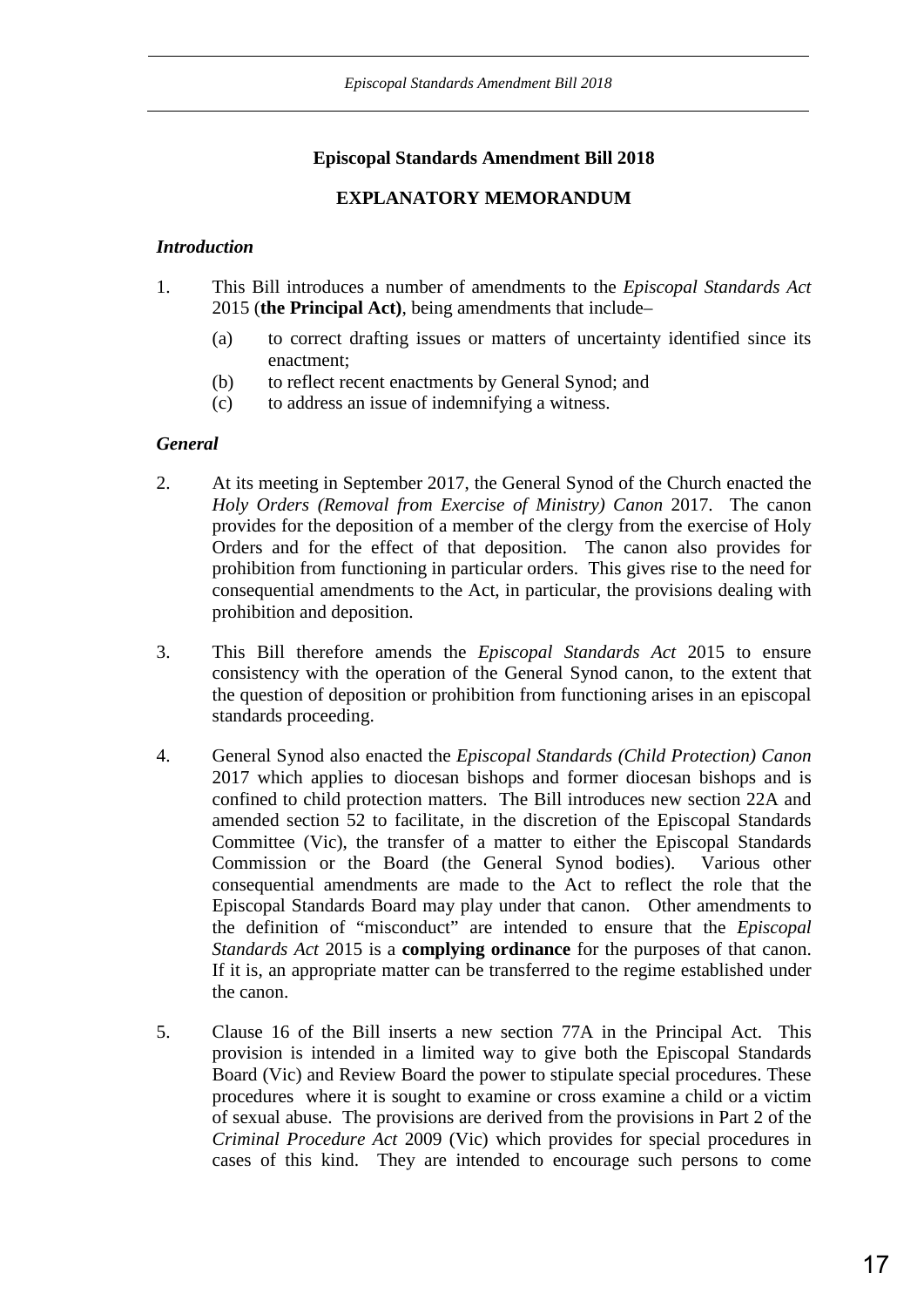# **Episcopal Standards Amendment Bill 2018**

# **EXPLANATORY MEMORANDUM**

### *Introduction*

- 1. This Bill introduces a number of amendments to the *Episcopal Standards Act* 2015 (**the Principal Act)**, being amendments that include–
	- (a) to correct drafting issues or matters of uncertainty identified since its enactment;
	- (b) to reflect recent enactments by General Synod; and
	- (c) to address an issue of indemnifying a witness.

# *General*

- 2. At its meeting in September 2017, the General Synod of the Church enacted the *Holy Orders (Removal from Exercise of Ministry) Canon* 2017. The canon provides for the deposition of a member of the clergy from the exercise of Holy Orders and for the effect of that deposition. The canon also provides for prohibition from functioning in particular orders. This gives rise to the need for consequential amendments to the Act, in particular, the provisions dealing with prohibition and deposition.
- 3. This Bill therefore amends the *Episcopal Standards Act* 2015 to ensure consistency with the operation of the General Synod canon, to the extent that the question of deposition or prohibition from functioning arises in an episcopal standards proceeding.
- 4. General Synod also enacted the *Episcopal Standards (Child Protection) Canon* 2017 which applies to diocesan bishops and former diocesan bishops and is confined to child protection matters. The Bill introduces new section 22A and amended section 52 to facilitate, in the discretion of the Episcopal Standards Committee (Vic), the transfer of a matter to either the Episcopal Standards Commission or the Board (the General Synod bodies). Various other consequential amendments are made to the Act to reflect the role that the Episcopal Standards Board may play under that canon. Other amendments to the definition of "misconduct" are intended to ensure that the *Episcopal Standards Act* 2015 is a **complying ordinance** for the purposes of that canon. If it is, an appropriate matter can be transferred to the regime established under the canon.
- 5. Clause 16 of the Bill inserts a new section 77A in the Principal Act. This provision is intended in a limited way to give both the Episcopal Standards Board (Vic) and Review Board the power to stipulate special procedures. These procedures where it is sought to examine or cross examine a child or a victim of sexual abuse. The provisions are derived from the provisions in Part 2 of the *Criminal Procedure Act* 2009 (Vic) which provides for special procedures in cases of this kind. They are intended to encourage such persons to come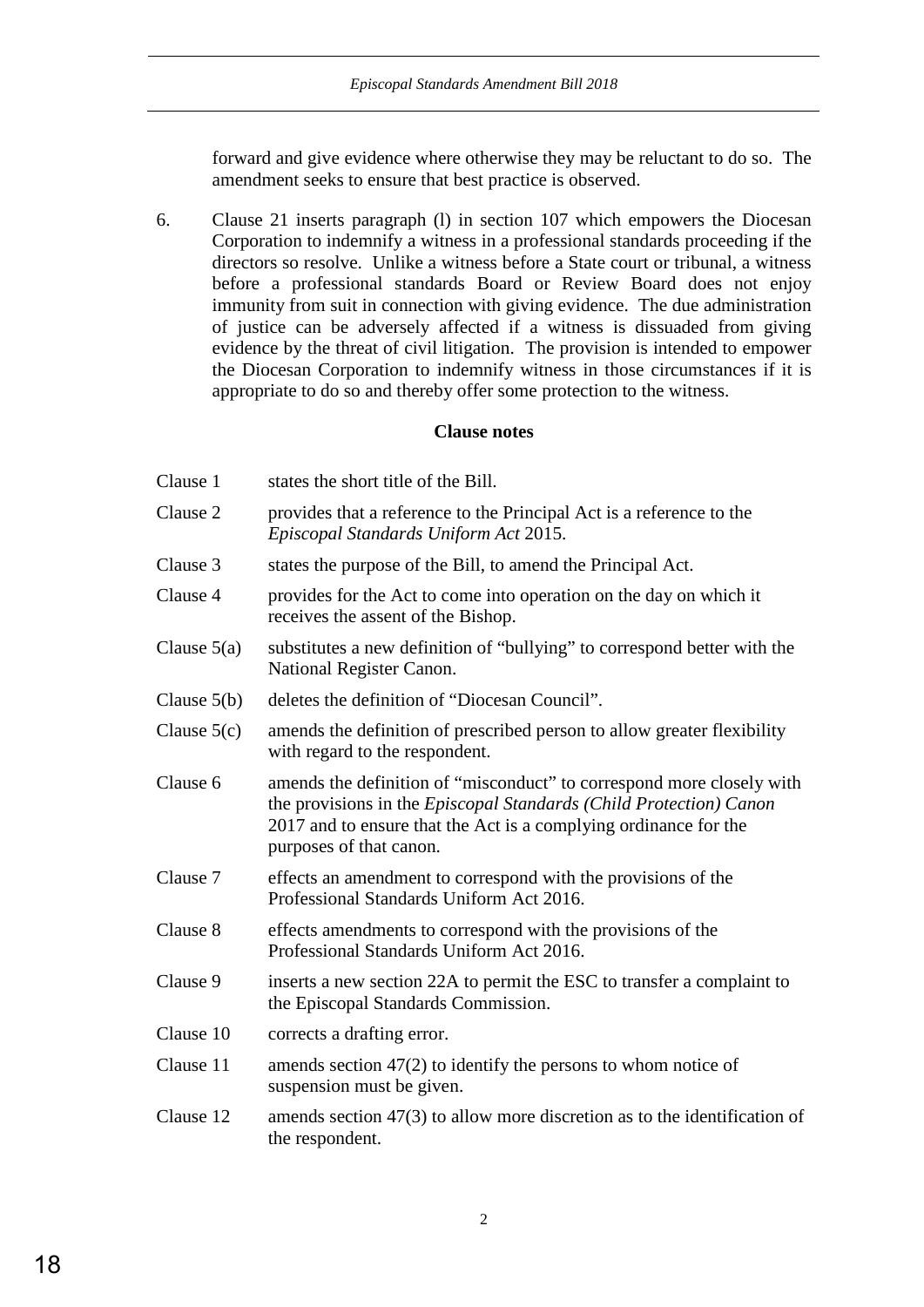forward and give evidence where otherwise they may be reluctant to do so. The amendment seeks to ensure that best practice is observed.

6. Clause 21 inserts paragraph (l) in section 107 which empowers the Diocesan Corporation to indemnify a witness in a professional standards proceeding if the directors so resolve. Unlike a witness before a State court or tribunal, a witness before a professional standards Board or Review Board does not enjoy immunity from suit in connection with giving evidence. The due administration of justice can be adversely affected if a witness is dissuaded from giving evidence by the threat of civil litigation. The provision is intended to empower the Diocesan Corporation to indemnify witness in those circumstances if it is appropriate to do so and thereby offer some protection to the witness.

# **Clause notes**

| Clause 1      | states the short title of the Bill.                                                                                                                                                                                                        |
|---------------|--------------------------------------------------------------------------------------------------------------------------------------------------------------------------------------------------------------------------------------------|
| Clause 2      | provides that a reference to the Principal Act is a reference to the<br>Episcopal Standards Uniform Act 2015.                                                                                                                              |
| Clause 3      | states the purpose of the Bill, to amend the Principal Act.                                                                                                                                                                                |
| Clause 4      | provides for the Act to come into operation on the day on which it<br>receives the assent of the Bishop.                                                                                                                                   |
| Clause $5(a)$ | substitutes a new definition of "bullying" to correspond better with the<br>National Register Canon.                                                                                                                                       |
| Clause $5(b)$ | deletes the definition of "Diocesan Council".                                                                                                                                                                                              |
| Clause $5(c)$ | amends the definition of prescribed person to allow greater flexibility<br>with regard to the respondent.                                                                                                                                  |
| Clause 6      | amends the definition of "misconduct" to correspond more closely with<br>the provisions in the Episcopal Standards (Child Protection) Canon<br>2017 and to ensure that the Act is a complying ordinance for the<br>purposes of that canon. |
| Clause 7      | effects an amendment to correspond with the provisions of the<br>Professional Standards Uniform Act 2016.                                                                                                                                  |
| Clause 8      | effects amendments to correspond with the provisions of the<br>Professional Standards Uniform Act 2016.                                                                                                                                    |
| Clause 9      | inserts a new section 22A to permit the ESC to transfer a complaint to<br>the Episcopal Standards Commission.                                                                                                                              |
| Clause 10     | corrects a drafting error.                                                                                                                                                                                                                 |
| Clause 11     | amends section $47(2)$ to identify the persons to whom notice of<br>suspension must be given.                                                                                                                                              |
| Clause 12     | amends section $47(3)$ to allow more discretion as to the identification of<br>the respondent.                                                                                                                                             |